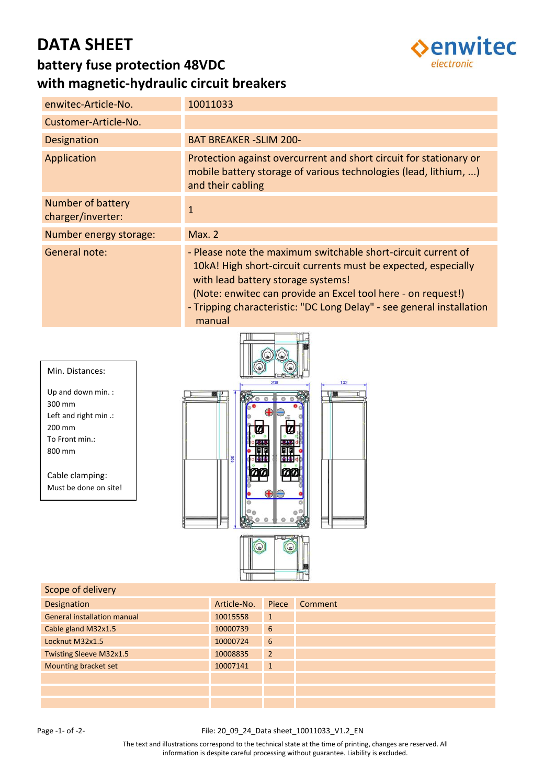# **DATA SHEET**



### **battery fuse protection 48VDC with magnetic-hydraulic circuit breakers**

| enwitec-Article-No.                    | 10011033                                                                                                                                                                                                                                                                                                                 |
|----------------------------------------|--------------------------------------------------------------------------------------------------------------------------------------------------------------------------------------------------------------------------------------------------------------------------------------------------------------------------|
| Customer-Article-No.                   |                                                                                                                                                                                                                                                                                                                          |
| <b>Designation</b>                     | <b>BAT BREAKER - SLIM 200-</b>                                                                                                                                                                                                                                                                                           |
| Application                            | Protection against overcurrent and short circuit for stationary or<br>mobile battery storage of various technologies (lead, lithium, )<br>and their cabling                                                                                                                                                              |
| Number of battery<br>charger/inverter: | $\mathbf{1}$                                                                                                                                                                                                                                                                                                             |
| Number energy storage:                 | Max. 2                                                                                                                                                                                                                                                                                                                   |
| General note:                          | - Please note the maximum switchable short-circuit current of<br>10kA! High short-circuit currents must be expected, especially<br>with lead battery storage systems!<br>(Note: enwitec can provide an Excel tool here - on request!)<br>- Tripping characteristic: "DC Long Delay" - see general installation<br>manual |



| Scope of delivery                  |             |                |         |
|------------------------------------|-------------|----------------|---------|
| Designation                        | Article-No. | Piece          | Comment |
| <b>General installation manual</b> | 10015558    | $\mathbf{1}$   |         |
| Cable gland M32x1.5                | 10000739    | 6              |         |
| Locknut M32x1.5                    | 10000724    | 6              |         |
| <b>Twisting Sleeve M32x1.5</b>     | 10008835    | $\overline{2}$ |         |
| Mounting bracket set               | 10007141    | $\mathbf{1}$   |         |
|                                    |             |                |         |
|                                    |             |                |         |
|                                    |             |                |         |

#### Page -1- of -2- The Second State of -2- File: 20\_09\_24\_Data sheet\_10011033\_V1.2\_EN

The text and illustrations correspond to the technical state at the time of printing, changes are reserved. All information is despite careful processing without guarantee. Liability is excluded.